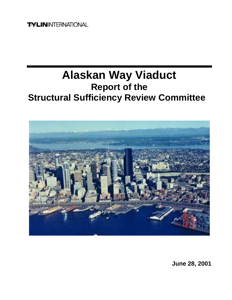**TYLININTERNATIONAL** 

# **Alaskan Way Viaduct Report of the Structural Sufficiency Review Committee**



**June 28, 2001**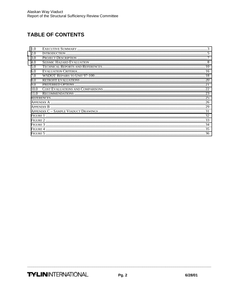## **TABLE OF CONTENTS**

| 1.0  |  |  |
|------|--|--|
| 2.0  |  |  |
| 3.0  |  |  |
| 4.0  |  |  |
| 5.0  |  |  |
| 6.0  |  |  |
| 7.0  |  |  |
| 8.0  |  |  |
| 9.0  |  |  |
| 10.0 |  |  |
| 11.0 |  |  |
|      |  |  |
|      |  |  |
|      |  |  |
|      |  |  |
|      |  |  |
|      |  |  |
|      |  |  |
|      |  |  |
|      |  |  |
|      |  |  |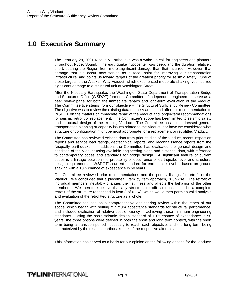# <span id="page-2-0"></span>**1.0 Executive Summary**

The February 28, 2001 Nisqually Earthquake was a wake-up call for engineers and planners throughout Puget Sound. The earthquake hypocenter was deep, and the duration relatively short, sparing the Region from more significant damage than that incurred. However, that damage that did occur now serves as a focal point for improving our transportation infrastructure, and points us toward targets of the greatest priority for seismic safety. One of those targets is the Alaskan Way Viaduct, which experienced moderate shaking, yet incurred significant damage to a structural unit at Washington Street.

After the Nisqually Earthquake, the Washington State Department of Transportation Bridge and Structures Office (WSDOT) formed a Committee of independent engineers to serve as a peer review panel for both the immediate repairs and long-term evaluation of the Viaduct. The Committee title stems from our objective – the Structural Sufficiency Review Committee. The objective was to review the existing data on the Viaduct, and offer our recommendation to WSDOT on the matters of immediate repair of the Viaduct and longer-term recommendations for seismic retrofit or replacement. The Committee's scope has been limited to seismic safety and structural design of the existing Viaduct. The Committee has not addressed general transportation planning or capacity issues related to the Viaduct, nor have we considered what structure or configuration might be most appropriate for a replacement or retrofitted Viaduct.

The Committee has reviewed existing data from prior studies of the Viaduct, recent inspection reports and service load ratings, geotechnical reports, and reconnaissance reports from the Nisqually earthquake. In addition, the Committee has evaluated the general design and condition of the Viaduct using available engineering plans and historical data, with reference to contemporary codes and standards for bridge design. A significant feature of current codes is a linkage between the probability of occurrence of earthquake level and structural design requirements. WSDOT's current standard for earthquake level is based on ground shaking with a 10% chance of exceedance in 50 years.

Our Committee reviewed prior recommendations and the priority listings for retrofit of the Viaduct. We concluded that a piecemeal, item by item approach, is unwise. The retrofit of individual members inevitably changes their stiffness and affects the behavior of the other members. We therefore believe that any structural retrofit solution should be a complete retrofit of the structure (described in item 3 of 6.2.4), which would then permit a valid analysis and evaluation of the retrofitted structure as a whole.

The Committee focused on a comprehensive engineering review within the reach of our scope, which began with setting minimum acceptance standards for structural performance, and included evaluation of relative cost efficiency in achieving these minimum engineering standards. Using the basic seismic design standard of 10% chance of exceedance in 50 years, the three options were defined in both the short and long term context, with the short term being a transition period necessary to reach each objective, and the long term being characterized by the residual earthquake risk of the respective alternative.

This information has served as a basis for our opinion on the following options for the Viaduct: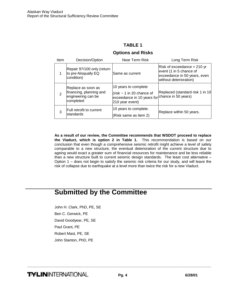## **TABLE 1**

#### **Options and Risks**

| Item | Decision/Option                                                                  | Near Term Risk                                                                                                              | Long Term Risk                                                                                                   |
|------|----------------------------------------------------------------------------------|-----------------------------------------------------------------------------------------------------------------------------|------------------------------------------------------------------------------------------------------------------|
|      | Repair 97/100 only (return<br>to pre-Nisqually EQ<br>condition)                  | lSame as current                                                                                                            | Risk of exceedance = 210 yr<br>event (1 in 5 chance of<br>exceedance in 50 years, even<br>without deterioration) |
| 2    | Replace as soon as<br>financing, planning and<br>engineering can be<br>completed | 10 years to complete<br>(risk $\sim$ 1 in 20 chance of<br>exceedance in 10 years for chance in 50 years)<br>210 year event) | Replaced (standard risk 1 in 10                                                                                  |
| 3    | Full retrofit to current<br>standards                                            | 10 years to complete.<br>(Risk same as item 2)                                                                              | Replace within 50 years.                                                                                         |

**As a result of our review, the Committee recommends that WSDOT proceed to replace the Viaduct, which is option 2 in Table 1.** This recommendation is based on our conclusion that even though a comprehensive seismic retrofit might achieve a level of safety comparable to a new structure, the eventual deterioration of the current structure due to ageing would exact a greater sum of financial resources for maintenance and be less reliable than a new structure built to current seismic design standards. The least cost alternative – Option 1 – does not begin to satisfy the seismic risk criteria for our study, and will leave the risk of collapse due to earthquake at a level more than twice the risk for a new Viaduct.

# **Submitted by the Committee**

John H. Clark, PhD, PE, SE Ben C. Gerwick, PE David Goodyear, PE, SE Paul Grant, PE Robert Mast, PE, SE John Stanton, PhD, PE

**TYLIN**INTERNATIONAL **Pg. 4** 6/28/01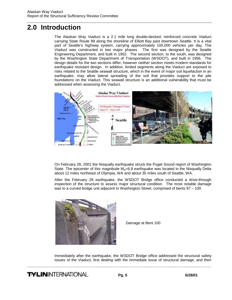# <span id="page-4-0"></span>**2.0 Introduction**

The Alaskan Way Viaduct is a 2.1 mile long double-decked, reinforced concrete Viaduct carrying State Route 99 along the shoreline of Elliott Bay past downtown Seattle. It is a vital part of Seattle's highway system, carrying approximately 100,000 vehicles per day. The Viaduct was constructed in two major phases. The first was designed by the Seattle Engineering Department, and built in 1952. The second section, to the south, was designed by the Washington State Department of Transportation (WSDOT), and built in 1956. The design details for the two sections differ, however neither section meets modern standards for earthquake resistant design. In addition, limited segments along the Viaduct are exposed to risks related to the Seattle seawall structure, which in the event of major soil liquefaction in an earthquake, may allow lateral spreading of the soil that provides support to the pile foundations on the Viaduct. This seawall structure is an additional vulnerability that must be addressed when assessing the Viaduct.



On February 28, 2001 the Nisqually earthquake struck the Puget Sound region of Washington State. The epicenter of this magnitude  $M_w=6.8$  earthquake was located in the Nisqually Delta about 12 miles northeast of Olympia, WA and about 35 miles south of Seattle, WA.

After the February 28 earthquake, the WSDOT Bridge office conducted a drive-through inspection of the structure to assess major structural condition. The most notable damage was to a curved bridge unit adjacent to Washington Street, comprised of bents 97 – 100.



Damage at Bent 100

Immediately after the earthquake, the WSDOT Bridge office addressed the structural safety issues of the Viaduct, first dealing with the immediate issue of structural damage, and then

**TYLIN**INTERNATIONAL **Pg. 5** 6/28/01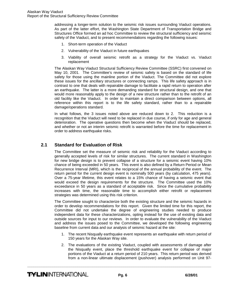addressing a longer-term solution to the seismic risk issues surrounding Viaduct operations. As part of the latter effort, the Washington State Department of Transportation Bridge and Structures Office formed an ad hoc Committee to review the structural sufficiency and seismic safety of the Viaduct, and to present recommendations regarding the following issues:

- 1. Short-term operation of the Viaduct
- 2. Vulnerability of the Viaduct in future earthquakes
- 3. Viability of overall seismic retrofit as a strategy for the Viaduct vs. Viaduct replacement

The Alaskan Way Viaduct Structural Sufficiency Review Committee (SSRC) first convened on May 10, 2001. The Committee's review of seismic safety is based on the standard of life safety for those using the mainline portion of the Viaduct. The Committee did not explore these issues for the ancillary structures or connecting ramps. This life safety approach is in contrast to one that deals with repairable damage to facilitate a rapid return to operation after an earthquake. The latter is a more demanding standard for structural design, and one that would more reasonably apply to the design of a new structure rather than to the retrofit of an old facility like the Viaduct. In order to maintain a direct comparison between options, all reference within this report is to the life safety standard, rather than to a repairable damage/operations standard.

In what follows, the 3 issues noted above are reduced down to 2. This reduction is a recognition that the Viaduct will need to be replaced in due course, if only for age and general deterioration. The operative questions then become when the Viaduct should be replaced, and whether or not an interim seismic retrofit is warranted before the time for replacement in order to address earthquake risks.

## **2.1 Standard for Evaluation of Risk**

The Committee set the measure of seismic risk and reliability for the Viaduct according to generally accepted levels of risk for similar structures. The current standard in Washington for new bridge design is to prevent collapse of a structure for a seismic event having 10% chance of being exceeded in 50 years. This event is also defined by a Return Period or Mean Recurrence Interval (MRI), which is the reciprocal of the annual probability of the event. The return period for the current design event is nominally 500 years (by calculation, 475 years). Over a 75-year lifetime, this event relates to a 15% chance of having a seismic event that would exceed the design requirements for the structure. The Committee used the 10% exceedance in 50 years as a standard of acceptable risk. Since the cumulative probability increases with time, the reasonable time to accomplish either retrofit or replacement strategies was determined using this risk criterion.

The Committee sought to characterize both the existing structure and the seismic hazards in order to develop recommendations for this report. Given the limited time for this report, the Committee did not undertake the degree of engineering studies needed to produce independent data for these characterizations, opting instead for the use of existing data and outside sources for input to our reviews. In order to evaluate the vulnerability of the Viaduct and address the issues posed to the Committee, we developed the following engineering baseline from current data and our analysis of seismic hazard at the site:

- 1. The recent Nisqually earthquake event represents an earthquake with return period of 150 years for the Alaskan Way site.
- 2. The evaluations of the existing Viaduct, coupled with assessments of damage after the Nisqually event, place the threshold earthquake event for collapse of major portions of the Viaduct at a return period of 210 years. This return period was derived from a non-linear ultimate displacement (pushover) analysis performed on Unit 97-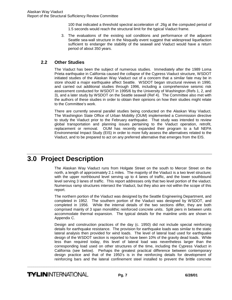100 that indicated a threshold spectral acceleration of .26g at the computed period of 1.5 seconds would reach the structural limit for the typical Viaduct frame.

<span id="page-6-0"></span>3. The evaluations of the existing soil conditions and performance of the adjacent Seattle sea-wall structure in the Nisqually event suggest that widespread liquefaction sufficient to endanger the stability of the seawall and Viaduct would have a return period of about 350 years.

### **2.2 Other Studies**

The Viaduct has been the subject of numerous studies. Immediately after the 1989 Loma Prieta earthquake in California caused the collapse of the Cypress Viaduct structure, WSDOT initiated studies of the Alaskan Way Viaduct out of a concern that a similar fate may be in store should a major earthquake affect Seattle. WSDOT began structural reviews in 1990, and carried out additional studies through 1996, including a comprehensive seismic risk assessment conducted for WSDOT in 1995/6 by the University of Washington (Refs 1, 2, and 3), and a later study by WSDOT on the Seattle seawall (Ref 4). The Committee also met with the authors of these studies in order to obtain their opinions on how their studies might relate to the Committee's work.

There are currently several parallel studies being conducted on the Alaskan Way Viaduct. The Washington State Office of Urban Mobility (OUM) implemented a Commission directive to study the Viaduct prior to the February earthquake. That study was intended to review global transportation and planning issues pertaining to the Viaduct operation, retrofit, replacement or removal. OUM has recently expanded their program to a full NEPA Environmental Impact Study (EIS) in order to more fully assess the alternatives related to the Viaduct, and to be prepared to act on any preferred alternative that emerges from the EIS.

# **3.0 Project Description**

The Alaskan Way Viaduct runs from Holgate Street on the south to Mercer Street on the north, a length of approximately 2.1 miles. The majority of the Viaduct is a two level structure; with the upper northbound level serving up to 4 lanes of traffic, and the lower southbound level serving 3 lanes of traffic. This report addresses only that two level portion of the viaduct. Numerous ramp structures intersect the Viaduct, but they also are not within the scope of this report.

The northern portion of the Viaduct was designed by the Seattle Engineering Department, and completed in 1952. The southern portion of the Viaduct was designed by WSDOT, and completed in 1956. While the internal details of the two sections differ, they are both comprised mainly of 3 span monolithic reinforced concrete units. Split piers in between units accommodate thermal expansion. The typical details for the mainline units are shown in Appendix C.

Design and construction practices of the day (c. 1950) did not include special reinforcing details for earthquake resistance. The provision for earthquake loads was similar to the static lateral analysis then provided for wind loads. The level of lateral load used for earthquake design of the WSDOT section is reported to have been 10% of the gravity dead loads. While less than required today, this level of lateral load was nevertheless larger than the corresponding load used on other structures of the time, including the Cypress Viaduct in California (see below). Perhaps the greatest practical difference between contemporary design practice and that of the 1950's is in the reinforcing details for development of reinforcing bars and the lateral confinement steel installed to prevent the brittle concrete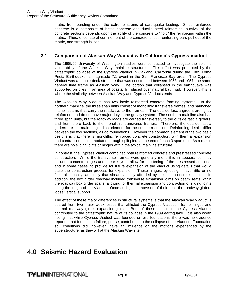<span id="page-7-0"></span>matrix from bursting under the extreme strains of earthquake loading. Since reinforced concrete is a composite of brittle concrete and ductile steel reinforcing, survival of the concrete sections depends upon the ability of the concrete to "hold" the reinforcing within the matrix. Thus, once lateral confinement of the concrete is lost, reinforcing bars pull out of the matrix, and strength is lost.

## **3.1 Comparison of Alaskan Way Viaduct with California's Cypress Viaduct**

The 1995/96 University of Washington studies were conducted to investigate the seismic vulnerability of the Alaskan Way mainline structures. This effort was prompted by the catastrophic collapse of the Cypress Viaduct in Oakland, California during the 1989 Loma Prieta Earthquake, a magnitude 7.1 event in the San Francisco Bay area. The Cypress Viaduct was a double-deck structure that was constructed between 1953 and 1957, the same general time frame as Alaskan Way. The portion that collapsed in the earthquake was supported on piles in an area of coastal fill, placed over natural bay mud. However, this is where the similarity between Alaskan Way and Cypress Viaducts ends.

The Alaskan Way Viaduct has two basic reinforced concrete framing systems. In the northern mainline, the three span units consist of monolithic transverse frames, and haunched interior beams that carry the roadways to the frames. The outside fascia girders are lightly reinforced, and do not have major duty in the gravity system. The southern mainline also has three span units, but the roadway loads are carried transversely to the outside fascia girders, and from there back to the monolithic transverse frames. Therefore, the outside fascia girders are the main longitudinal element for the southern section. Reinforcing details differ between the two sections, as do foundations. However the common element of the two basic designs is that there is monolithic reinforced concrete construction, with thermal expansion and contraction accommodated through split piers at the end of each 3 span unit. As a result, there are no sliding joints or hinges within the typical mainline structure.

In contrast, the Cypress Viaduct combined both reinforced concrete and prestressed concrete construction. While the transverse frames were generally monolithic in appearance, they included concrete hinges and shear keys to allow for shortening of the prestressed sections, and in some cases, to provide for future expansion of the Viaduct using details that would ease the construction process for expansion. These hinges, by design, have little or no flexural capacity, and only that shear capacity afforded by the plain concrete section. In addition, the box girder roadway included transverse expansion joints on beam seats within the roadway box girder spans, allowing for thermal expansion and contraction of sliding joints along the length of the Viaduct. Once such joints move off of their seat, the roadway girders loose vertical support.

The effect of these major differences in structural systems is that the Alaskan Way Viaduct is spared from two major weaknesses that afflicted the Cypress Viaduct – frame hinges and internal roadway girder expansion joints. Both of these details in the Cypress Viaduct contributed to the catastrophic nature of its collapse in the 1989 earthquake. It is also worth noting that while Cypress Viaduct was founded on pile foundations, there was no evidence reported that foundation failure, per se, contributed to the collapse of the Viaduct. Foundation soil conditions did, however, have an influence on the motions experienced by the superstructure, as they will at the Alaskan Way site.

# **4.0 Seismic Hazard Evaluation**

**TYLIN**INTERNATIONAL **Pg. 8** 6/28/01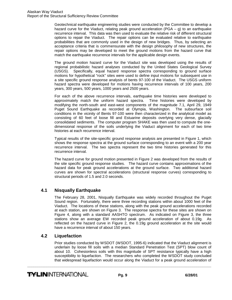Geotechnical earthquake engineering studies were conducted by the Committee to develop a hazard curve for the Viaduct, relating peak ground acceleration (PGA – g) to an earthquake recurrence interval. This data was then used to evaluate the relative risk of different structural options to repair the Viaduct. The repair options can be evaluated relative to earthquake probabilities that are commonly used in the design of new bridges. Thus, by selecting an acceptance criteria that is commensurate with the design philosophy of new structures, the repair options may be developed to meet the ground motions from the hazard curve that match the earthquake recurrence intervals for the applicable design events.

The ground motion hazard curve for the Viaduct site was developed using the results of regional probabilistic hazard analyses conducted by the United States Geological Survey (USGS). Specifically, equal hazard response spectra corresponding to ground surface motions for hypothetical "rock" sites were used to define input motions for subsequent use in a site specific ground response analysis of bents 97-100 of the Viaduct. The USGS uniform hazard spectra were developed for motions having recurrence intervals of 100 years, 200 years, 300 years, 500 years, 1000 years and 2500 years.

For each of the above recurrence intervals, earthquake time histories were developed to approximately match the uniform hazard spectra. Time histories were developed by modifying the north-south and east-west components of the magnitude 7.1, April 29, 1949 Puget Sound Earthquake as recorded at Olympia, Washington. The subsurface soil conditions in the vicinity of Bents 97-100 were then characterized in the analytical model as consisting of 60 feet of loose fill and Estuarine deposits overlying very dense, glacially consolidated sediments. The computer program SHAKE was then used to compute the onedimensional response of the soils underlying the Viaduct alignment for each of two time histories at each recurrence interval.

Typical results of the site-specific ground response analysis are presented in Figure 1, which shows the response spectra at the ground surface corresponding to an event with a 200 year recurrence interval. The two spectra represent the two time histories generated for this recurrence interval.

The hazard curve for ground motion presented in Figure 2 was developed from the results of the site specific ground response studies. The hazard curve contains approximations of the hazard data for peak ground accelerations at the ground surface. Two additional hazard curves are shown for spectral accelerations (structural response curves) corresponding to structural periods of 1.5 and 2.0 seconds.

## **4.1 Nisqually Earthquake**

The February 28, 2001, Nisqually Earthquake was widely recorded throughout the Puget Sound region. Fortunately, there were three recording stations within about 1000 feet of the Viaduct. The locations of these stations, along with the peak ground accelerations recorded at each station, are shown on Figure 3. The response spectra for these sites are shown on Figure 4, along with a standard AASHTO spectrum. As indicated on Figure 3, the three stations show an average EW recorded peak ground acceleration of about 0.19g. As reflected on the hazard curve in Figure 2, the 0.19g ground acceleration at the site would have a recurrence interval of about 150 years.

## **4.2 Liquefaction**

Prior studies conducted by WSDOT (WSDOT, 1995-6) indicated that the Viaduct alignment is underlain by loose fill soils with a median Standard Penetration Test (SPT) blow count of about 10. Cohesionless soils with this magnitude of SPT resistance typically have a high susceptibility to liquefaction. The researchers who completed the WSDOT study concluded that widespread liquefaction would occur along the Viaduct for a peak ground acceleration of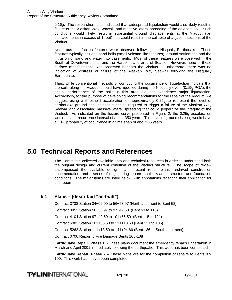<span id="page-9-0"></span>0.16g. The researchers also indicated that widespread liquefaction would also likely result in failure of the Alaskan Way Seawall, and massive lateral spreading of the adjacent soil. Such conditions would likely result in substantial ground displacements at the Viaduct (i.e. displacements in excess of 1 foot) that could result in the collapse of adjacent sections of the Viaduct.

Numerous liquefaction features were observed following the Nisqually Earthquake. These features typically included sand boils (small volcano-like features), ground settlement, and the intrusion of sand and water into basements. Most of these features were observed in the South of Downtown district and the Harbor Island area of Seattle. However, none of these surface manifestations was observed beneath the Viaduct. Furthermore, there was no indication of distress or failure of the Alaskan Way Seawall following the Nisqually Earthquake.

Thus, while conventional methods of computing the occurrence of liquefaction indicate that the soils along the Viaduct should have liquefied during the Nisqually event (0.19g PGA), the actual performance of the soils in this area did not experience major liquefaction. Accordingly, for the purpose of developing recommendations for the repair of the Viaduct, we suggest using a threshold acceleration of approximately 0.25g to represent the level of earthquake ground shaking that might be required to trigger a failure of the Alaskan Way Seawall and associated massive lateral spreading that could jeopardize the integrity of the Viaduct. As indicated on the hazard curve presented in Figure 2, the 0.25g acceleration would have a recurrence interval of about 350 years. This level of ground shaking would have a 10% probability of occurrence in a time span of about 35 years.

# **5.0 Technical Reports and References**

The Committee collected available data and technical resources in order to understand both the original design and current condition of the Viaduct structure. The scope of review encompassed the available design plans, recent repair plans, archived construction documentation, and a series of engineering reports on the Viaduct structure and foundation conditions. The major items are listed below, with annotations reflecting their application for this report.

## **5.1 Plans – (described "as-built")**

Contract 3738 Station 34+02.00 to 56+53.97 (North abutment to Bent 53)

Contract 3952 Station 56+53.97 to 97+49.50 (Bent 53 to 115)

Contract 4104 Station 97+49.50 to 101+55.50 (Bent 115 to 121)

Contract 5081 Station 101+55.50 to 111+13.50 (Bent 121 to 136)

Contract 5262 Station 111+13.50 to 141+04.66 (Bent 136 to South abutment)

Contract 0706 Repair to Fire Damage Bents 105-108

**Earthquake Repair, Phase I** - These plans document the emergency repairs undertaken in March and April 2001 immediately following the earthquake. This work has been completed.

**Earthquake Repair, Phase 2** – These plans are for the completion of repairs to Bents 97- 100. This work has not yet been completed.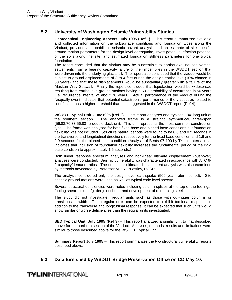## **5.2 University of Washington Seismic Vulnerability Studies**

**Geotechnical Engineering Aspects, July 1995 (Ref 1)** – This report summarized available and collected information on the subsurface conditions and foundation types along the Viaduct, provided a probabilistic seismic hazard analysis and an estimate of site specific ground motion parameters for the design level earthquake, investigated liquefaction potential of the soils along the site, and estimated foundation stiffness parameters for one typical foundation.

The report concluded that the viaduct may be susceptible to earthquake induced vertical settlements from a bearing capacity failure of the timber piles in the WSDOT section that were driven into the underlying glacial till. The report also concluded that the viaduct would be subject to ground displacements of 3 to 4 feet during the design earthquake (10% chance in 50 years) and that these displacements would be substantially greater with a failure of the Alaskan Way Seawall. Finally the report concluded that liquefaction would be widespread resulting from earthquake ground motions having a 50% probability of occurrence in 50 years (i.e. recurrence interval of about 70 years). Actual performance of the Viaduct during the Nisqually event indicates that potential catastrophic performance of the viaduct as related to liquefaction has a higher threshold than that suggested in the WSDOT report (Ref 4).

**WSDOT Typical Unit, June1995 (Ref 2)** – This report analyzes one "typical" 184' long unit of the southern section. The analyzed frame is a straight, symmetrical, three-span (56.83,70.33,56.83 ft) double deck unit. This unit represents the most common construction type. The frame was analyzed for both fixed base and pinned base conditions but foundation flexibility was not included. Structure natural periods were found to be 0.8 and 0.9 seconds in the transverse and longitudinal directions respectively for the fixed base condition and 1.6 and 2.0 seconds for the pinned base condition. (Analysis of Bents 97-100 by TY Lin International indicates that inclusion of foundation flexibility increases the fundamental period of the rigid base condition to approximately 1.5 seconds.)

Both linear response spectrum analyses and non-linear ultimate displacement (pushover) analyses were conducted. Seismic vulnerability was characterized in accordance with ATC 6- 2 capacity/demand ratios. The non-linear ultimate displacement analysis was also examined by methods advocated by Professor M.J.N. Priestley, UCSD.

The analysis considered only the design level earthquake (500 year return period). Site specific ground motions were used as well as typical code level spectra.

Several structural deficiencies were noted including column splices at the top of the footings, footing shear, column/girder joint shear, and development of reinforcing steel.

The study did not investigate irregular units such as those with out-rigger columns or transitions in width. The irregular units can be expected to exhibit torsional response in addition to the transverse and longitudinal response. It can be expected that such units would show similar or worse deficiencies than the regular units investigated.

**SED Typical Unit, July 1995 (Ref 3)** – This report analyzed a similar unit to that described above for the northern section of the Viaduct. Analyses, methods, results and limitations were similar to those described above for the WSDOT Typical Unit.

**Summary Report July 1995** – This report summarizes the two structural vulnerability reports described above.

## **5.3 Data furnished by WSDOT Bridge Preservation Office on CD May 10:**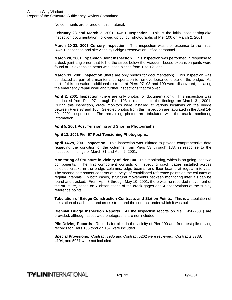No comments are offered on this material.

**February 28 and March 2, 2001 RABIT Inspection**. This is the initial post earthquake inspection documentation, followed up by four photographs of Pier 100 on March 2, 2001.

**March 20-22, 2001 Cursory Inspection**. This inspection was the response to the initial RABIT inspection and site visits by Bridge Preservation Office personnel.

**March 28, 2001 Expansion Joint Inspection**. This inspection was performed in response to a deck joint angle iron that fell to the street below the Viaduct. Loose expansion joints were found at 27 expansion bents with loose pieces from 1' to 12' long.

**March 31, 2001 Inspection** (there are only photos for documentation). This inspection was conducted as part of a maintenance operation to remove loose concrete on the bridge. As part of this operation, additional distress at Piers 97, 98 and 100 were discovered, initiating the emergency repair work and further inspections that followed.

**April 2, 2001 Inspection** (there are only photos for documentation). This inspection was conducted from Pier 97 through Pier 103 in response to the findings on March 31, 2001. During this inspection, crack monitors were installed at various locations on the bridge between Piers 97 and 100. Selected photos from this inspection are tabulated in the April 14- 29, 2001 inspection. The remaining photos are tabulated with the crack monitoring information.

**April 5, 2001 Post Tensioning and Shoring Photographs**.

**April 13, 2001 Pier 97 Post Tensioning Photographs**.

**April 14-29, 2001 Inspection**. This inspection was initiated to provide comprehensive data regarding the condition of the columns from Piers 53 through 183, in response to the inspection findings of March 31 and April 2, 2001.

**Monitoring of Structure in Vicinity of Pier 100**. This monitoring, which is on going, has two components. The first component consists of inspecting crack gages installed across selected cracks in the bridge columns, edge beams, and floor beams at regular intervals. The second component consists of surveys of established reference points on the columns at regular intervals. In both cases, structural movements between monitoring intervals can be found and tracked. From April 3 through May 10, 2001, there was no recorded movement of the structure, based on 7 observations of the crack gages and 4 observations of the survey reference points.

**Tabulation of Bridge Construction Contracts and Station Points.** This is a tabulation of the station of each bent and cross street and the contract under which it was built.

**Biennial Bridge Inspection Reports.** All the inspection reports on file (1956-2001) are provided, although associated photographs are not included.

**Pile Driving Records**. Records for piles in the vicinity of Pier 100 and from test pile driving records for Piers 136 through 157 were included.

**Special Provisions**. Contract 3935 and Contract 5262 were reviewed. Contracts 3738, 4104, and 5081 were not included.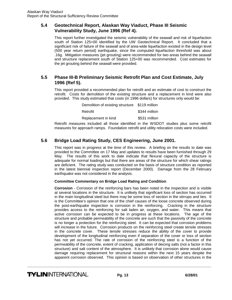#### **5.4 Geotechnical Report, Alaskan Way Viaduct, Phase III Seismic Vulnerability Study, June 1996 (Ref 4).**

This report further investigated the seismic vulnerability of the seawall and risk of liquefaction south of Station 125+00 identified by the UW Geotechnical Report. It concluded that a significant risk of failure of the seawall and of area-wide liquefaction existed in the design level (500 year return period) earthquake, since the computed liquefaction threshold was about .16g. Mitigation measures (jet grouting) were recommended for two areas behind the seawall and structure replacement south of Station 125+00 was recommended. Cost estimates for the jet grouting behind the seawall were provided.

## **5.5 Phase III-B Preliminary Seismic Retrofit Plan and Cost Estimate, July 1996 (Ref 5).**

This report provided a recommended plan for retrofit and an estimate of cost to construct the retrofit. Costs for demolition of the existing structure and a replacement in kind were also provided. This study estimated that costs (in 1996 dollars) for structures only would be:

| Demolition of existing structure \$119 million |               |
|------------------------------------------------|---------------|
| Retrofit                                       | \$344 million |
| Replacement in kind                            | \$531 million |

Retrofit measures included all those identified in the WSDOT studies plus some retrofit measures for approach ramps. Foundation retrofit and utility relocation costs were included.

## **5.6 Bridge Load Rating Study, CES Engineering, June 2001.**

This report was in progress at the time of this review. A briefing on the results to date was provided to the Committee on 17 May and updates to results have been furnished through 29 May. The results of this work to date indicate that flexural capacity of the structure is adequate for normal loadings but that there are areas of the structure for which shear ratings are deficient. The rating study was conducted on the basis of structure condition as reported in the latest biennial inspection report (December 2000). Damage from the 28 February earthquake was not considered in the analysis.

#### **Committee Commentary on Bridge Load Rating and Condition**

**Corrosion** - Corrosion of the reinforcing bars has been noted in the inspection and is visible at several locations in the structure. It is unlikely that significant loss of section has occurred in the main longitudinal steel but there may be some loss of section in the stirrups and ties. It is the Committee's opinion that one of the chief causes of the loose concrete observed during the post-earthquake inspection is corrosion in the reinforcing. Cracking in the structure provides access to the reinforcing for salt laden air, oxygen, and water. This means that active corrosion can be expected to be in progress at these locations. The age of the structure and probable permeability of the concrete are such that the passivity of the concrete is no longer a protection for the reinforcing steel. It can be expected that corrosion problems will increase in the future. Corrosion products on the reinforcing steel create tensile stresses in the concrete cover. These tensile stresses reduce the ability of the cover to provide development of the longitudinal reinforcing even if separation of the cover or loss of section has not yet occurred. The rate of corrosion of the reinforcing steel is a function of the permeability of the concrete, extent of cracking, application of deicing salts (not a factor in this structure) and salt content of the atmosphere. It is unlikely that corrosion alone would cause damage requiring replacement for structural reasons within the next 15 years despite the apparent corrosion observed. This opinion is based on observation of other structures in the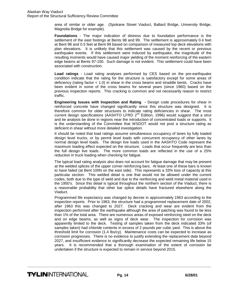area of similar or older age. (Spokane Street Viaduct, Ballard Bridge, University Bridge, Magnolia Bridge for example).

**Foundations** - The major indication of distress due to foundation performance is the settlement of the east footings at Bents 98 and 99. The settlement is approximately 0.4 feet at Bent 98 and 0.5 feet at Bent 99 based on comparison of measured top deck elevations with plan elevations. It is unlikely that this settlement was caused by the recent or previous earthquake events. If this settlement were induced by earthquake, the magnitude of the resulting moments would have caused major yielding of the moment reinforcing of the eastern edge beams at Bents 97-100. Such damage is not evident. This settlement could have been associated with construction.

**Load ratings** - Load rating analyses performed by CES based on the pre-earthquake condition indicate that the rating for the structure is satisfactory except for some areas of deficiency (rating factor < 1.0) in shear in the cross beams and straddle bents. Cracks have been evident in some of the cross beams for several years (since 1960) based on the previous inspection reports. This cracking is common and not necessarily reason to restrict traffic.

**Engineering Issues with Inspection and Rating -** Design code procedures for shear in reinforced concrete have changed significantly since this structure was designed. It is therefore common for older structures to indicate rating deficiencies in shear. The most current design specifications (AASHTO LFRD  $2<sup>nd</sup>$  Edition, 1996) would suggest that a strut and tie analysis be done in regions near the introduction of concentrated loads or supports. It is the understanding of the Committee that WSDOT would not post a structure rating as deficient in shear without more detailed investigation.

It should be noted that load ratings assume simultaneous occupancy of lanes by fully loaded design level trucks, or by permit level loads with concurrent occupancy of other lanes by normal design level loads. The design live loads used in the AASHTO Code represent the maximum loading effect expected on the structure. Loads that occur frequently are less than the full design live loads. The more common loads are reflected in the use of a 25% reduction in truck loading when checking for fatigue.

The typical load rating analysis also does not account for fatigue damage that may be present at the welded splices of the upper corner reinforcing bars. At least one of these bars is known to have failed (at Bent 100N on the east side). This represents a 33% loss of capacity at this particular section. This welded detail is one that would not be allowed under the current codes, both due to the type of weld and due to the reinforcing and weld metal material used in the 1950's. Since this detail is typical throughout the northern section of the Viaduct, there is a reasonable probability that other bar splice details have fractured elsewhere along the Viaduct.

Programmed life expectancy was changed by decree in approximately 1963 according to the inspection reports. Prior to 1963, the structure had a programmed replacement date of 2002, after 1963 this was changed to 2027. Deck cracking and wear are evident from the inspection performed after the earthquake although the area of patching was found to be less than 1% of the total area. There are numerous areas of exposed reinforcing steel on the deck and on edge beams, as well as signs of deck wear. The inspection for corrosion was apparently limited to the deck. Testing of samples taken from the deck indicated 33% (of samples taken) had chloride contents in excess of 2 pounds per cubic yard. This is above the threshold limit for corrosion (1.4 lbs/cy). Maintenance costs can be expected to increase as corrosion progresses. There is no evidence to justify extending the replacement date beyond 2027, and insufficient evidence to significantly decrease the expected remaining life below 15 years. It is recommended that a thorough examination of the extent of corrosion be undertaken if the structure is expected to remain in service beyond 2015.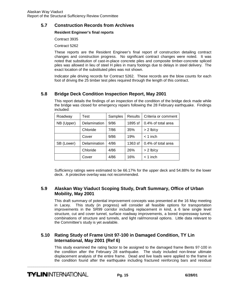## **5.7 Construction Records from Archives**

#### **Resident Engineer's final reports**

Contract 3935

Contract 5262

These reports are the Resident Engineer's final report of construction detailing contract changes and construction progress. No significant contract changes were noted. It was noted that substitution of cast-in-place concrete piles and composite timber-concrete spliced piles was allowed in lieu of steel H piles in many footings due to delays in steel delivery. The exact location of the substituted piles was not shown.

Indicator pile driving records for Contract 5262. These records are the blow counts for each foot of driving the 25 timber test piles required through the length of this contract.

## **5.8 Bridge Deck Condition Inspection Report, May 2001**

| Roadway    | Test         | Samples | <b>Results</b> | Criteria or comment |  |
|------------|--------------|---------|----------------|---------------------|--|
| NB (Upper) | Delamination | 9/86    | 1895 sf        | 0.4% of total area  |  |
|            | Chloride     | 7/86    | 35%            | $> 2$ lb/cy         |  |
|            | Cover        | 9/86    | 19%            | $<$ 1 inch          |  |
| SB (Lower) | Delamination | 4/86    | 1363 sf        | 0.4% of total area  |  |
|            | Chloride     | 4/86    | 26%            | $> 2$ lb/cy         |  |
|            | Cover        | 4/86    | 16%            | $<$ 1 inch          |  |

This report details the findings of an inspection of the condition of the bridge deck made while the bridge was closed for emergency repairs following the 28 February earthquake. Findings included:

Sufficiency ratings were estimated to be 66.17% for the upper deck and 54.88% for the lower deck. A protective overlay was not recommended.

## **5.9 Alaskan Way Viaduct Scoping Study, Draft Summary, Office of Urban Mobility, May 2001**

This draft summary of potential improvement concepts was presented at the 16 May meeting in Lacey. This study (in progress) will consider all feasible options for transportation improvements in the SR99 corridor including replacement in kind, a 6 lane single level structure, cut and cover tunnel, surface roadway improvements, a bored expressway tunnel, combinations of structure and tunnels, and light rail/monorail options. Little data relevant to the Committee's study is yet available.

## **5.10 Rating Study of Frame Unit 97-100 in Damaged Condition, TY Lin International, May 2001 (Ref 6)**

This study examined the rating factor to be assigned to the damaged frame Bents 97-100 in the condition after the February 28 earthquake. The study included non-linear ultimate displacement analysis of the entire frame. Dead and live loads were applied to the frame in the condition found after the earthquake including fractured reinforcing bars and residual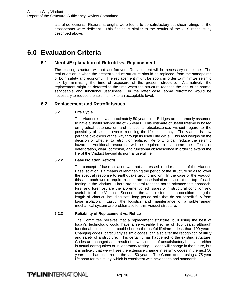lateral deflections. Flexural strengths were found to be satisfactory but shear ratings for the crossbeams were deficient. This finding is similar to the results of the CES rating study described above.

# <span id="page-15-0"></span>**6.0 Evaluation Criteria**

### **6.1 Merits/Explanation of Retrofit vs. Replacement**

The existing structure will not last forever. Replacement will be necessary sometime. The real question is when the present Viaduct structure should be replaced, from the standpoints of both safety and economy. The replacement might be soon, in order to minimize seismic risk by minimizing the time of exposure of the present structure. Alternatively, the replacement might be deferred to the time when the structure reaches the end of its normal serviceable and functional usefulness. In the latter case, some retrofitting would be necessary to reduce the seismic risk to an acceptable level.

## **6.2 Replacement and Retrofit Issues**

#### **6.2.1 Life Cycle**

 The Viaduct is now approximately 50 years old. Bridges are commonly assumed to have a useful service life of 75 years. This estimate of useful lifetime is based on gradual deterioration and functional obsolescence, without regard to the possibility of seismic events reducing the life expectancy. The Viaduct is now perhaps two-thirds of the way through its useful life cycle. This fact weighs on the decision of whether to retrofit or replace. Retrofitting can reduce the seismic hazard. Additional resources will be required to overcome the effects of deterioration, wear, corrosion, and functional obsolescence in order to extend the life of the Viaduct beyond its normal useful life.

#### **6.2.2 Base Isolation Retrofit**

The concept of base isolation was not addressed in prior studies of the Viaduct. Base isolation is a means of lengthening the period of the structure so as to lower the spectral response to earthquake ground motion. In the case of the Viaduct, this approach would require a separate base isolation device at the top of each footing in the Viaduct. There are several reasons not to advance this approach. First and foremost are the aforementioned issues with structural condition and useful life of the Viaduct. Second is the variable foundation condition along the length of Viaduct, including soft, long period soils that do not benefit fully from base isolation. Lastly, the logistics and maintenance of a subterranean mechanical system are problematic for this Viaduct structure.

#### **6.2.3 Reliability of Replacement vs. Rehab**

 The Committee believes that a replacement structure, built using the best of today's technology, could have a serviceable lifetime of 100 years, although functional obsolescence could shorten the useful lifetime to less than 100 years. Changing codes, particularly seismic codes, can also alter the recognition of utility and safety of a structure. This certainly has happened to the existing structure. Codes are changed as a result of new evidence of unsatisfactory behavior, either in actual earthquakes or in laboratory testing. Codes will change in the future, but it is unlikely that we will see the extensive change in seismic codes in the next 50 years that has occurred in the last 50 years. The Committee is using a 75 year life span for this study, which is consistent with new codes and standards.

**TYLIN**INTERNATIONAL **Pg. 16** 6/28/01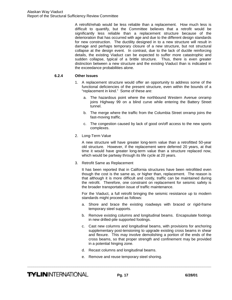A retrofit/rehab would be less reliable than a replacement. How much less is difficult to quantify, but the Committee believes that a retrofit would be significantly less reliable than a replacement structure because of the deterioration that has occurred with age and due to the different design standards for new construction. The ductility designed in to a new structure will result in damage and perhaps temporary closure of a new structure, but not structural collapse at the design event. In contrast, due to the lack of ductile reinforcing details, the existing Viaduct can be expected to suffer more catastrophic and sudden collapse, typical of a brittle structure. Thus, there is even greater distinction between a new structure and the existing Viaduct than is indicated in the exceedance probabilities alone.

#### **6.2.4 Other Issues**

- 1. A replacement structure would offer an opportunity to address some of the functional deficiencies of the present structure, even within the bounds of a "replacement in kind." Some of these are:
	- a. The hazardous point where the northbound Western Avenue onramp joins Highway 99 on a blind curve while entering the Battery Street tunnel.
	- b. The merge where the traffic from the Columbia Street onramp joins the fast-moving traffic.
	- c. The congestion caused by lack of good on/off access to the new sports complexes.
- 2. Long-Term Value

A new structure will have greater long-term value than a retrofitted 50-year old structure. However, if the replacement were deferred 20 years, at that time it would have greater long-term value than a structure replaced now, which would be partway through its life cycle at 20 years.

3. Retrofit Same as Replacement

It has been reported that in California structures have been retrofitted even though the cost is the same as, or higher than, replacement. The reason is that although it is more difficult and costly, traffic can be maintained during the retrofit. Therefore, one constraint on replacement for seismic safety is the broader transportation issue of traffic maintenance.

For the Viaduct, a full retrofit bringing the seismic resistance up to modern standards might proceed as follows:

- a. Shore and brace the existing roadways with braced or rigid-frame temporary steel supports.
- b. Remove existing columns and longitudinal beams. Encapsulate footings in new drilled-pile supported footings.
- c. Cast new columns and longitudinal beams, with provisions for anchoring supplementary post-tensioning to upgrade existing cross beams in shear and flexure. This may involve demolishing a portion of the ends of the cross beams, so that proper strength and confinement may be provided in a potential hinging zone.
- d. Recast columns and longitudinal beams.

**\_\_\_\_\_\_\_\_\_\_\_\_\_\_\_\_\_\_\_\_\_\_\_\_\_\_\_\_\_\_\_\_\_\_\_\_\_\_\_\_\_\_\_\_\_\_\_\_\_\_\_\_\_\_\_\_\_\_\_\_\_\_\_\_\_\_\_\_\_\_\_\_\_\_\_\_\_\_\_\_\_\_\_\_\_\_\_\_** 

e. Remove and reuse temporary steel shoring.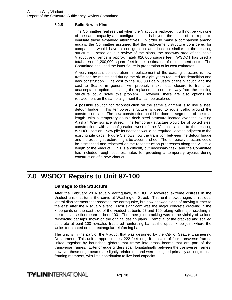#### <span id="page-17-0"></span>**6.2.5 Build New In-Kind**

The Committee realizes that when the Viaduct is replaced, it will not be with one of the same capacity and configuration. It is beyond the scope of this report to evaluate these expanded alternatives. In order to make a comparison among equals, the Committee assumed that the replacement structure considered for comparison would have a configuration and location similar to the existing structure. Based on our review of the plans, the roadway area of the basic Viaduct and ramps is approximately 920,000 square feet. WSDOT has used a total area of 1,200,000 square feet in their estimates of replacement costs. The Committee has used the latter figure in preparation of its cost estimates.

A very important consideration in replacement of the existing structure is how traffic can be maintained during the six to eight years required for demolition and new construction. The cost to the 100,000 daily users of the Viaduct, and the cost to Seattle in general, will probably make total closure to traffic an unacceptable option. Locating the replacement corridor away from the existing structure could solve this problem. However, there are also options for replacement on the same alignment that can be explored.

A possible solution for reconstruction on the same alignment is to use a steel detour bridge. This temporary structure is used to route traffic around the construction site. The new construction could be done in segments of the total length, with a temporary double-deck steel structure located over the existing Alaskan Way surface street. The temporary structure would be of bolted steel construction, with a configuration west of the Viaduct similar to the existing WSDOT section. New pile foundations would be required, located adjacent to the existing pile caps. Figure 5 shows how the transition between the detour bridge and the existing structure might be accomplished. The temporary structure could be dismantled and relocated as the reconstruction progresses along the 2.1-mile length of the Viaduct. This is a difficult, but necessary task, and the Committee has included rough cost estimates for providing a temporary bypass during construction of a new Viaduct.

# **7.0 WSDOT Repairs to Unit 97-100**

### **Damage to the Structure**

After the February 28 Nisqually earthquake, WSDOT discovered extreme distress in the Viaduct unit that turns the curve at Washington Street. This unit showed signs of residual lateral displacement that predated the earthquake, but now showed signs of moving further to the east after the Nisqually event. Most significant was the major concrete cracking in the knee joints on the east side of the Viaduct at bents 97 and 100, along with major cracking in the transverse floorbeam at bent 100. The knee joint cracking was in the vicinity of welded reinforcing bar laps shown on the original design plans. Removal of the cracked and spalled concrete at bent 100 revealed fractured reinforcing bar at the upper knee joint where the welds terminated on the rectangular reinforcing bars.

The unit is in the part of the Viaduct that was designed by the City of Seattle Engineering Department. This unit is approximately 222 feet long. It consists of four transverse frames linked together by haunched girders that frame into cross beams that are part of the transverse frames. Exterior edge girders span longitudinally between the transverse frames, however these edge beams are lightly reinforced, and were designed primarily as longitudinal framing members, with little contribution to live load capacity.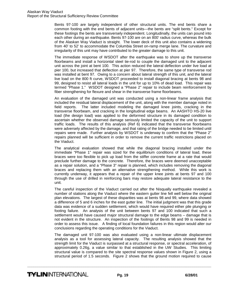Bents 97-100 are largely independent of other structural units. The end bents share a common footing with the end bents of adjacent units—the bents are "split bents." Except for these footings the bents are transversely independent. Longitudinally, the units can pound into each other during an earthquake. Bents 97-100 are on an 800' radius curve, whereas the bulk of the Alaskan Way Viaduct is straight. The lower deck of this unit also contains a widening from 40' to 52' to accommodate the Columbia Street on-ramp merge lane. The curvature and irregularity of this unit may have contributed to the greater damage to this unit.

The immediate response of WSDOT after the earthquake was to shore up the transverse floorbeams and install a horizontal steel tie-rod to couple the damaged unit to the adjacent unit across the joint at bent 100. This action reduced the lateral deflection under live load at pier 100, but increased that deflection at pier 97. Therefore, the same type of transverse rod was installed at bent 97. Owing to a concern about lateral strength of this unit, and the lateral live load on the 800 ft curve, WSDOT proceeded to install diagonal bracing at bents 98 and 99, designed to resist all lateral loads in the unit for up to 10% of dead load. This repair was termed "Phase 1." WSDOT designed a "Phase 2" repair to include beam reinforcement by fiber strengthening for flexure and shear in the transverse frame floorbeams.

An evaluation of the damaged unit was conducted using a non-linear frame analysis that included the residual lateral displacement of the unit, along with the member damage noted in field reports. The latter included modeling the damaged knee joints, cracking in the transverse floorbeam, and cracking in the longitudinal edge beams. An AASHTO HS-20 live load (the design load) was applied to the deformed structure in its damaged condition to ascertain whether the observed damage seriously limited the capacity of the unit to support traffic loads. The results of this analysis (Ref 6) indicated that the transverse floorbeams were adversely affected by the damage, and that rating of the bridge needed to be limited until repairs were made. Further analysis by WSDOT is underway to confirm that the "Phase 2" repairs planned will be sufficient in order to remove the current traffic restrictions placed on the Viaduct.

The analytical evaluation showed that while the diagonal bracing installed under the immediate "Phase 1" repair was sized for the equilibrium conditions of lateral load, these braces were too flexible to pick up load from the stiffer concrete frame at a rate that would preclude further damage to the concrete. Therefore, the braces were deemed unacceptable as a repair solution, and a "Phase 3" repair is planned, which includes removing the diagonal braces and replacing them with an alternative strengthening method. While this work is currently underway, it appears that a repair of the upper knee joints at bents 97 and 100 through the use of drilled in reinforcing bars may restore adequate lateral resistance to the unit.

The careful inspection of the Viaduct carried out after the Nisqually earthquake revealed a number of stations along the Viaduct where the eastern gutter line fell well below the original plan elevations. The largest of these disparities was at bents 98 and 99, where data showed a difference of 5 and 6 inches for the east gutter line. The initial judgment was that this grade data was evidence of a sudden settlement, which would have required either pile plunging or footing failure. An analysis of the unit between bents 97 and 100 indicated that such a settlement would have caused major structural damage to the edge beams – damage that is not evident in the structure. An inspection of the footings of Bents 98 and 99 is needed in order to assess this issue. A finding of local foundation failures in this region would alter our conclusions regarding the operating conditions for the Viaduct.

The damaged unit 97-100 was also evaluated using a non-linear ultimate displacement analysis as a tool for assessing lateral capacity. The resulting analysis showed that the strength limit for the Viaduct is surpassed at a structural response, or spectral acceleration, of approximately 0.26g, a value similar to that established in the UW Studies. This limiting structural value is compared to the site spectral response values shown in Figure 2, using a structural period of 1.5 seconds. Figure 2 shows that the ground motion required to cause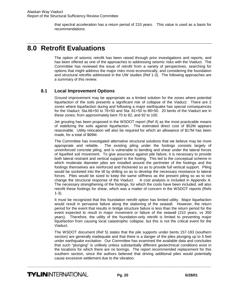that spectral acceleration has a return period of 210 years. This value is used as a basis for recommendations.

# <span id="page-19-0"></span>**8.0 Retrofit Evaluations**

The option of seismic retrofit has been raised through prior investigations and reports, and has been offered as one of the approaches to addressing seismic risks with the Viaduct. The Committee has reviewed the issue of retrofit from a variety of perspectives, searching for options that might address the major risks most economically, and considering the foundation and structural retrofits addressed in the UW studies (Ref 1-3). The following approaches are a summary of this review.

## **8.1 Local Improvement Options**

Ground improvement may be appropriate as a limited solution for the zones where potential liquefaction of the soils presents a significant risk of collapse of the Viaduct. There are 2 zones where liquefaction during and following a major earthquake has special consequences for the Viaduct; Sta.66+50 to 76+50 and Sta. 81+50 to 89+50. 20 bents of the Viaduct are in these zones, from approximately bent 70 to 82, and 92 to 100.

Jet grouting has been proposed in the WSDOT report (Ref 4) as the most practicable means of stabilizing the soils against liquefaction. The estimated direct cost of \$52M appears reasonable. Utility relocation will also be required for which an allowance of \$17M has been made, for a total of \$69M.

The Committee has investigated alternative structural solutions that we believe may be more appropriate and reliable. The existing piling under the footings consists largely of unreinforced concrete piling, and is vulnerable to bending and shear under the lateral forces of liquefied soil movement. To give assurance against pile failure, it is necessary to provide both lateral restraint and vertical support to the footing. This led to the conceptual scheme in which moderate diameter piles are installed around the perimeter of the footings and the footings themselves are reinforced and thickened so as to provide full vertical support. Piling would be socketed into the till by drilling so as to develop the necessary resistance to lateral forces. Piles would be sized to keep the same stiffness as the present piling so as to not change the structural response of the Viaduct. A cost analysis is included in Appendix A. The necessary strengthening of the footings, for which the costs have been included, will also retrofit these footings for shear, which was a matter of concern in the WSDOT reports (Refs 1-3).

It must be recognized that this foundation retrofit option has limited utility. Major liquefaction would result in pervasive failure along the stationing of the seawall. However, the return period for the event that results in bridge structure failure is less than the return period for the event expected to result in major movement or failure of the seawall (210 years, vs 350 years). Therefore, the utility of the foundation-only retrofit is limited to preventing major liquefaction from causing local catastrophic collapse, but this is not the critical event for the Viaduct.

The WSDOT document (Ref 5) states that the pile supports under bents 157-183 (southern section) are generally inadequate and that there is a danger of the piles plunging up to 5 feet under earthquake excitation. Our Committee has examined the available data and concludes that such "plunging" is unlikely unless substantially different geotechnical conditions exist in the locations for which there are no borings. The report recommended replacement for this southern section, since the authors believed that driving additional piles would potentially cause excessive settlement due to the vibration.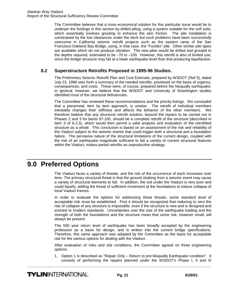<span id="page-20-0"></span>The Committee believes that a more economical solution for this particular issue would be to underpin the footings in this section by drilled piling, using a system suitable for the soft soils, which essentially involves grouting to enhance the skin friction. The pile installation is constrained by the low clearances under the deck but such problems have been successfully overcome in California seismic retrofit projects such as the eastern ramp of the San Francisco-Oakland Bay Bridge, using, in that case, the "Fundex" pile. Other similar pile types are available which do not produce vibration. The new piles would be drilled and grouted to the depths required, estimated to be  $-70$  to  $-100$ . However, this retrofit is also of limited use, since the bridge structure may fail at a lower earthquake level than that producing liquefaction.

### **8.2 Superstructure Retrofits Proposed in 1995-96 Studies.**

The Preliminary Seismic Retrofit Plan and Cost Estimate, prepared by WSDOT (Ref 5), dated July 23, 1996 sets forth a summary of the needed retrofits, prioritized on the basis of urgency, consequences, and costs. These were, of course, prepared before the Nisqually earthquake. In general, however, we believe that the WSDOT and University of Washington studies identified most of the structural deficiencies.

The Committee has reviewed these recommendations and the priority listings. We concluded that a piecemeal, item by item approach, is unwise. The retrofit of individual members inevitably changes their stiffness and affects the behavior of the other members. We therefore believe that any structural retrofit solution, beyond the repairs to be carried out in Phases 2 and 3 for bents 97-100, should be a complete retrofit of the structure (described in item 3 of 6.2.3), which would then permit a valid analysis and evaluation of the retrofitted structure as a whole. This conclusion is based on an assessment of the risk and reliability of the Viaduct subject to the seismic events that could trigger both a structural and a foundation failure. The pervasive nature of the structural limitations of the current design, coupled with the risk of an earthquake magnitude sufficient to fail a variety of current structural features within the Viaduct, makes partial retrofits an unproductive strategy.

## **9.0 Preferred Options**

The Viaduct faces a variety of threats, and the risk of the occurrence of each increases over time. The primary structural threat is that the ground shaking from a seismic event may cause a variety of structural elements to fail. In addition, the soil under the Viaduct is very poor and could liquefy, adding the threat of sufficient movement at the foundations to induce collapse of local Viaduct frames.

In order to evaluate the options for addressing these threats, some standard level of acceptable risk must be established. First it should be recognized that reducing to zero the risk of collapse of any structure is impossible, even if the structure is new and is designed and erected to modern standards. Uncertainties over the size of the earthquake loading and the strength of both the foundations and the structure mean that some risk, however small, will always be present.

The 500 year return level of earthquake has been broadly accepted by the engineering profession as a basis for design, and is written into the current bridge specifications. Therefore, this same approach was adopted by the Committee as the basis for acceptable risk for the various options for dealing with the Viaduct.

After evaluation of risks and site conditions, the Committee agreed on three engineering options:

1. Option 1 is described as "Repair Only – Return to pre-Nisqually Earthquake condition". It consists of performing the repairs planned under the WSDOT's Phase I, II and III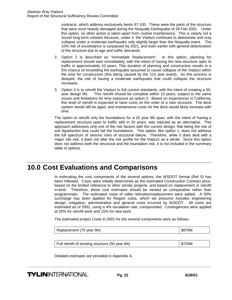<span id="page-21-0"></span>contracts, which address exclusively bents 97-100. These were the parts of the structure that were most heavily damaged during the Nisqually Earthquake of 28 Feb 2001. Under this option, no other action is taken apart from routine maintenance. This is clearly not a sound long-term solution because, under it, the Viaduct continues to deteriorate and may collapse under a moderate earthquake only slightly larger than the Nisqually event. The 10% risk of exceedance is surpassed by 2021, and even earlier with general deterioration of the structure due to age and traffic demands.

- 2. Option 2 is described as "Immediate Replacement". In this option, planning for replacement should start immediately, with the intent of having the new structure open to traffic in approximately 10 years. This duration of planning and construction results in a 5% chance of exceeding the earthquake assumed to cause collapse of the Viaduct within the time for construction (this being caused by the 210 year event). As this process is delayed, the risk of having a moderate earthquake that could collapse the structure increases.
- 3. Option 3 is to retrofit the Viaduct to full current standards, with the intent of creating a 50 year design life. This retrofit should be complete within 10 years, subject to the same issues and limitations for time exposure as option 2. Based on experiences in California, this level of retrofit is expected to have costs on the order of a new structure. The deck system would still be aged, and maintenance costs for the deck would likely increase with time.

The option to retrofit only the foundations for a 20 year life span, with the intent of having a replacement structure open to traffic with in 20 years, was rejected as an alternative. This approach addresses only one of the risk factors with the current design, that being the risk of soil liquefaction that could fail the foundations. This option, like option 1, does not address the full spectrum of seismic risks of structural failure. Therefore, while it does deal with a major site risk, it does not alter the risk profile for the Viaduct as a whole. Since this option does not address both the structural and the foundation risk, it is not included in the summary table of options.

# **10.0 Cost Evaluations and Comparisons**

In estimating the cost components of the several options, the WSDOT format (Ref 5) has been followed. Costs were initially determined as the estimated Construction Contract price, based on the limited reference to other similar projects, and based on replacement or retrofit in-kind. Therefore, these cost estimates should be viewed as comparative rather than programmatic. The estimated costs of utility relocation/replacement were added. A 50% surcharge has been applied for Region costs, which we presume includes engineering design, mitigation, administrative and general costs incurred by WSDOT. All costs are estimated as of 2001, using a 4% escalation rate, compounded. Contingencies were applied at 25% for retrofit work and 15% for new work.

The estimated project Costs in 2001 for the several components were as follows:

Replacement (75 year life) \$870M

Full retrofit of existing structure (50 year life)  $$720M$ 

Detailed estimates are provided in Appendix A.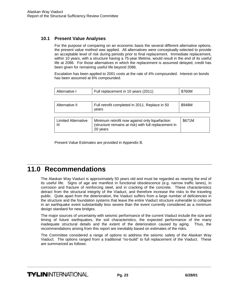## <span id="page-22-0"></span>**10.1 Present Value Analyses**

For the purpose of comparing on an economic basis the several different alternative options, the present value method was applied. All alternatives were conceptually selected to provide an acceptable level of risk during periods prior to final replacement. Immediate replacement, within 10 years, with a structure having a 75-year lifetime, would result in the end of its useful life at 2086. For those alternatives in which the replacement is assumed delayed, credit has been given for remaining useful life beyond 2086.

Escalation has been applied to 2001 costs at the rate of 4% compounded. Interest on bonds has been assumed at 6% compounded.

| Alternative I                   | Full replacement in 10 years (2011)                                                                                | \$760M |
|---------------------------------|--------------------------------------------------------------------------------------------------------------------|--------|
|                                 |                                                                                                                    |        |
| Alternative II                  | Full retrofit completed in 2011. Replace in 50<br>years                                                            | \$948M |
|                                 |                                                                                                                    |        |
| <b>Limited Alternative</b><br>Ш | Minimum retrofit now against only liquefaction<br>(structure remains at risk) with full replacement in<br>20 years | \$671M |

Present Value Estimates are provided in Appendix B.

# **11.0 Recommendations**

The Alaskan Way Viaduct is approximately 50 years old and must be regarded as nearing the end of its useful life. Signs of age are manifest in functional obsolescence (e.g. narrow traffic lanes), in corrosion and fracture of reinforcing steel, and in cracking of the concrete. These characteristics detract from the structural integrity of the Viaduct, and therefore increase the risks to the traveling public. Quite apart from the deterioration, the Viaduct suffers from a large number of deficiencies in the structure and the foundation systems that leave the entire Viaduct structure vulnerable to collapse in an earthquake event substantially less severe than the event currently considered as a minimum design standard for new bridges.

The major sources of uncertainty with seismic performance of the current Viaduct include the size and timing of future earthquakes, the soil characteristics, the expected performance of the many inadequate structural details and the extent of the deterioration caused by aging. Thus, the recommendations arising from this report are inevitably based on estimates of the risks.

The Committee considered a range of options to address the seismic safety of the Alaskan Way Viaduct. The options ranged from a traditional "no-build" to full replacement of the Viaduct. These are summarized as follows: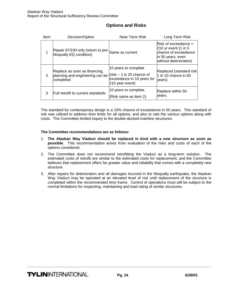| Item | Decision/Option                                                               | Near Term Risk                                                                                          | Long Term Risk                                                                                                          |
|------|-------------------------------------------------------------------------------|---------------------------------------------------------------------------------------------------------|-------------------------------------------------------------------------------------------------------------------------|
|      | Repair 97/100 only (return to pre-Same as current<br>Nisqually EQ condition)  |                                                                                                         | $Risk$ of exceedance =<br>$210$ yr event (1 in 5<br>chance of exceedance<br>in 50 years, even<br>without deterioration) |
| 2    | Replace as soon as financing,<br>planning and engineering can be<br>completed | 10 years to complete<br>(risk $\sim$ 1 in 20 chance of<br>exceedance in 10 years for<br>210 year event) | Replaced (standard risk<br>1 in 10 chance in 50<br>years)                                                               |
| 3    | Full retrofit to current standards                                            | 10 years to complete.<br>(Risk same as item 2)                                                          | Replace within 50<br>years.                                                                                             |

## **Options and Risks**

The standard for contemporary design is a 10% chance of exceedance in 50 years. This standard of risk was utilized to address time limits for all options, and also to rate the various options along with costs. The Committee limited inquiry to the double-decked mainline structures.

#### **The Committee recommendations are as follows:**

- 1. **The Alaskan Way Viaduct should be replaced in kind with a new structure as soon as possible**. This recommendation arises from evaluation of the risks and costs of each of the options considered.
- 2. The Committee does not recommend retrofitting the Viaduct as a long-term solution. The estimated costs of retrofit are similar to the estimated costs for replacement, and the Committee believes that replacement offers far greater value and reliability that comes with a completely new structure.
- 3. After repairs for deterioration and all damages incurred in the Nisqually earthquake, the Alaskan Way Viaduct may be operated at an elevated level of risk until replacement of the structure is completed within the recommended time frame. Control of operations must still be subject to the normal limitations for inspecting, maintaining and load rating of similar structures.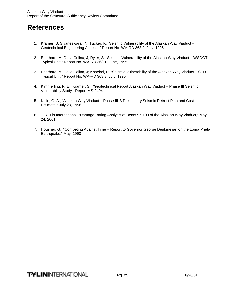# <span id="page-24-0"></span>**References**

- 1. Kramer, S; Sivaneswaran,N; Tucker, K; "Seismic Vulnerability of the Alaskan Way Viaduct Geotechnical Engineering Aspects," Report No. WA-RD 363.2, July, 1995
- 2. Eberhard, M; De la Colina, J; Ryter, S; "Seismic Vulnerability of the Alaskan Way Viaduct WSDOT Typical Unit," Report No. WA-RD 363.1, June, 1995
- 3. Eberhard, M; De la Colina, J; Knaebel, P; "Seismic Vulnerability of the Alaskan Way Viaduct SED Typical Unit," Report No. WA-RD 363.3, July, 1995
- 4. Kimmerling, R. E.; Kramer, S.; "Geotechnical Report Alaskan Way Viaduct Phase III Seismic Vulnerability Study," Report MS-2494,
- 5. Kolle, G. A.; "Alaskan Way Viaduct Phase III-B Preliminary Seismic Retrofit Plan and Cost Estimate," July 23, 1996
- 6. T. Y. Lin International; "Damage Rating Analysis of Bents 97-100 of the Alaskan Way Viaduct," May 24, 2001
- 7. Housner, G.; "Competing Against Time Report to Governor George Deukmejian on the Loma Prieta Earthquake," May, 1990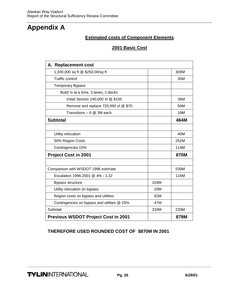# <span id="page-25-0"></span>**Appendix A**

## **Estimated costs of Component Elements**

## **2001 Basic Cost**

| A. Replacement cost                         |      |             |
|---------------------------------------------|------|-------------|
| 1,200,000 sq ft @ \$250.00/sq ft            |      | 300M        |
| <b>Traffic control</b>                      |      | 30M         |
| <b>Temporary Bypass</b>                     |      |             |
| Build 1/4 at a time, 3 lanes, 2 decks       |      |             |
| Initial Section 240,000 sf @ \$150          |      | 36M         |
| Remove and replace 720,000 sf @ \$70        |      | 50M         |
| Transitions $-6$ @ 3M each                  |      | 18M         |
| <b>Subtotal</b>                             |      | 464M        |
|                                             |      |             |
| Utility relocation                          |      | 40M         |
| 50% Region Costs                            |      | 252M        |
| Contingencies 15%                           |      | 114M        |
| <b>Project Cost in 2001</b>                 |      | <b>870M</b> |
|                                             |      |             |
| Comparison with WSDOT 1996 estimate         |      | 530M        |
| Escalation 1996-2001 @ 4% - 1.22            |      | 116M        |
| Bypass structure                            | 104M |             |
| Utility relocation on bypass                | 20M  |             |
| Region costs on bypass and utilities        | 62M  |             |
| Contingencies on bypass and utilities @ 25% | 47M  |             |
| Subtotal                                    | 233M | 233M        |
| <b>Previous WSDOT Project Cost in 2001</b>  |      | 879M        |

## **THEREFORE USED ROUNDED COST OF \$870M IN 2001**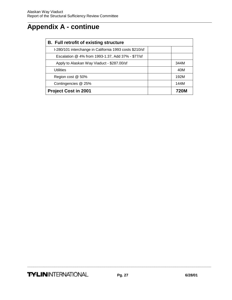# **Appendix A - continue**

| <b>B.</b> Full retrofit of existing structure           |      |  |  |
|---------------------------------------------------------|------|--|--|
| I-280/101 interchange in California 1993 costs \$210/sf |      |  |  |
| Escalation @ 4% from 1993-1.37, Add 37% - \$77/sf       |      |  |  |
| Apply to Alaskan Way Viaduct - \$287.00/sf              | 344M |  |  |
| <b>Utilities</b>                                        | 40M  |  |  |
| Region cost @ 50%                                       | 192M |  |  |
| Contingencies @ 25%                                     | 144M |  |  |
| <b>Project Cost in 2001</b>                             |      |  |  |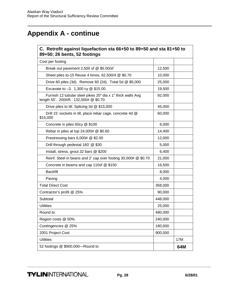# **Appendix A - continue**

| C. Retrofit against liquefaction sta 66+50 to 89+50 and sta 81+50 to<br>89+50; 26 bents, 52 footings  |         |     |  |  |
|-------------------------------------------------------------------------------------------------------|---------|-----|--|--|
| Cost per footing                                                                                      |         |     |  |  |
| Break out pavement 2,500 sf $@$ \$5.00/sf                                                             | 12,500  |     |  |  |
| Sheet piles to-15 Reuse 4 times, 62,500/4 @ \$0.70                                                    | 10,000  |     |  |  |
| Drive 60 piles (3d). Remove 60 (2d). Total 5d @ \$5,000                                               | 25,000  |     |  |  |
| Excavate to -3. 1,300 cy @ \$15.00.                                                                   | 19,500  |     |  |  |
| Furnish 12 tubular steel pikes 20" dia x 1" thick walls Avg<br>length 55'. 200#/ft. 132,000# @ \$0.70 | 92,000  |     |  |  |
| Drive piles to till. Splicing 3d @ \$15,000                                                           | 45,000  |     |  |  |
| Drill 15' sockets in till, place rebar cage, concrete 4d @<br>\$15,000                                | 60,000  |     |  |  |
| Concrete in piles 60cy @ \$100                                                                        | 6,000   |     |  |  |
| Rebar in piles at top 24,000# @ \$0.60                                                                | 14,400  |     |  |  |
| Prestressing bars 6,000# @ \$2.00                                                                     | 12,000  |     |  |  |
| Drill through pedestal 160' @ \$30                                                                    | 5,000   |     |  |  |
| Install, stress, grout 32 bars @ \$200                                                                | 6,400   |     |  |  |
| Reinf. Steel in beans and 2' cap over footing 30,000# @ \$0.70                                        | 21,000  |     |  |  |
| Concrete in beams and cap 110sf @ \$150                                                               | 16,500  |     |  |  |
| <b>Backfill</b>                                                                                       | 8,000   |     |  |  |
| Paving                                                                                                | 4,000   |     |  |  |
| <b>Total Direct Cost</b>                                                                              | 358,000 |     |  |  |
| Contractor's profit @ 25%                                                                             | 90,000  |     |  |  |
| Subtotal                                                                                              | 448,000 |     |  |  |
| <b>Utilities</b>                                                                                      | 25,000  |     |  |  |
| Round to                                                                                              | 480,000 |     |  |  |
| Region costs @ 50%                                                                                    | 240,000 |     |  |  |
| Contingencies @ 25%                                                                                   | 180,000 |     |  |  |
| 2001 Project Cost                                                                                     | 900,000 |     |  |  |
| <b>Utilities</b>                                                                                      |         | 17M |  |  |
| 52 footings @ \$900,000-Round to                                                                      |         | 64M |  |  |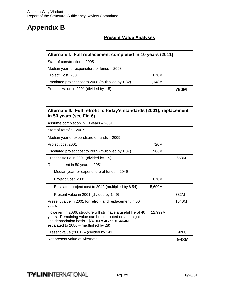# <span id="page-28-0"></span>**Appendix B**

## **Present Value Analyses**

| Alternate I. Full replacement completed in 10 years (2011) |        |      |  |
|------------------------------------------------------------|--------|------|--|
| Start of construction $-2005$                              |        |      |  |
| Median year for expenditure of funds $-2008$               |        |      |  |
| Project Cost, 2001                                         | 870M   |      |  |
| Escalated project cost to 2008 (multiplied by 1.32)        | 1.148M |      |  |
| Present Value in 2001 (divided by 1.5)                     |        | 760M |  |

| Alternate II. Full retrofit to today's standards (2001), replacement<br>in 50 years (see Fig 6).                                                                                                                               |         |       |  |  |
|--------------------------------------------------------------------------------------------------------------------------------------------------------------------------------------------------------------------------------|---------|-------|--|--|
| Assume completion in 10 years - 2001                                                                                                                                                                                           |         |       |  |  |
| Start of retrofit - 2007                                                                                                                                                                                                       |         |       |  |  |
| Median year of expenditure of funds - 2009                                                                                                                                                                                     |         |       |  |  |
| Project cost 2001                                                                                                                                                                                                              | 720M    |       |  |  |
| Escalated project cost to 2009 (multiplied by 1.37)                                                                                                                                                                            | 986M    |       |  |  |
| Present Value in 2001 (divided by 1.5)                                                                                                                                                                                         |         | 658M  |  |  |
| Replacement in 50 years - 2051                                                                                                                                                                                                 |         |       |  |  |
| Median year for expenditure of funds – 2049                                                                                                                                                                                    |         |       |  |  |
| Project Cost, 2001                                                                                                                                                                                                             | 870M    |       |  |  |
| Escalated project cost to 2049 (multiplied by 6.54)                                                                                                                                                                            | 5,690M  |       |  |  |
| Present value in 2001 (divided by 14.9)                                                                                                                                                                                        |         | 382M  |  |  |
| Present value in 2001 for retrofit and replacement in 50<br>years                                                                                                                                                              |         | 1040M |  |  |
| However, in 2086, structure will still have a useful life of 40<br>years. Remaining value can be computed on a straight-<br>line depreciation basis --\$870M $\times$ 40/75 = \$464M<br>escalated to 2086 - (multiplied by 28) | 12,992M |       |  |  |
| Present value (2001) - (divided by 141)                                                                                                                                                                                        |         | (92M) |  |  |
| Net present value of Alternate III                                                                                                                                                                                             |         | 948M  |  |  |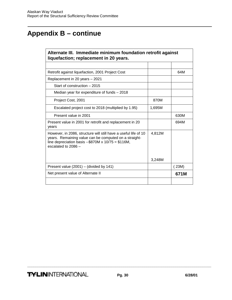# **Appendix B – continue**

| Alternate III. Immediate minimum foundation retrofit against<br>liquefaction; replacement in 20 years.                                                                                                    |        |       |  |
|-----------------------------------------------------------------------------------------------------------------------------------------------------------------------------------------------------------|--------|-------|--|
|                                                                                                                                                                                                           |        |       |  |
| Retrofit against liquefaction, 2001 Project Cost                                                                                                                                                          |        | 64M   |  |
| Replacement in 20 years - 2021                                                                                                                                                                            |        |       |  |
| Start of construction – 2015                                                                                                                                                                              |        |       |  |
| Median year for expenditure of funds – 2018                                                                                                                                                               |        |       |  |
| Project Cost, 2001                                                                                                                                                                                        | 870M   |       |  |
| Escalated project cost to 2018 (multiplied by 1.95)                                                                                                                                                       | 1,695M |       |  |
| Present value in 2001                                                                                                                                                                                     |        | 630M  |  |
| Present value in 2001 for retrofit and replacement in 20<br>years                                                                                                                                         |        | 694M  |  |
| However, in 2086, structure will still have a useful life of 10<br>years. Remaining value can be computed on a straight-<br>line depreciation basis $-$ \$870M x 10/75 = \$116M,<br>escalated to $2086 -$ | 4,812M |       |  |
|                                                                                                                                                                                                           | 3,248M |       |  |
| Present value $(2001)$ – (divided by 141)                                                                                                                                                                 |        | (23M) |  |
| Net present value of Alternate II                                                                                                                                                                         |        | 671M  |  |
|                                                                                                                                                                                                           |        |       |  |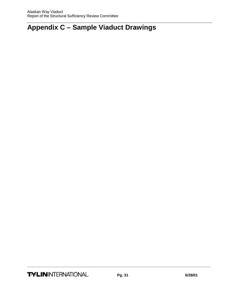# <span id="page-30-0"></span>**Appendix C – Sample Viaduct Drawings**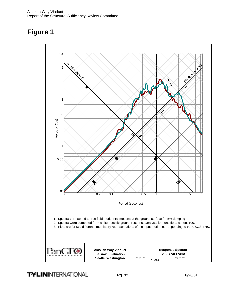<span id="page-31-0"></span>

**TYLIN**INTERNATIONAL Pg. 32 6/28/01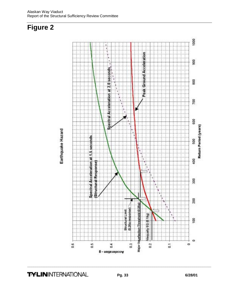<span id="page-32-0"></span>

# **TYLIN**INTERNATIONAL **Pg. 33** 6/28/01

**\_\_\_\_\_\_\_\_\_\_\_\_\_\_\_\_\_\_\_\_\_\_\_\_\_\_\_\_\_\_\_\_\_\_\_\_\_\_\_\_\_\_\_\_\_\_\_\_\_\_\_\_\_\_\_\_\_\_\_\_\_\_\_\_\_\_\_\_\_\_\_\_\_\_\_\_\_\_\_\_\_\_\_\_\_\_\_\_** 

1000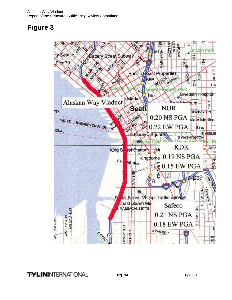<span id="page-33-0"></span>

**TYLIN**INTERNATIONAL **Pg. 34** 6/28/01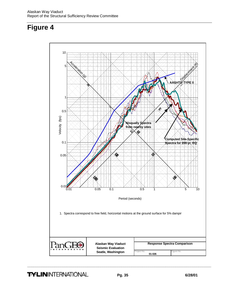<span id="page-34-0"></span>

**TYLIN**INTERNATIONAL **Pg. 35** 6/28/01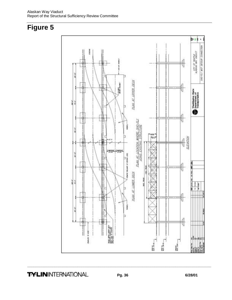<span id="page-35-0"></span>